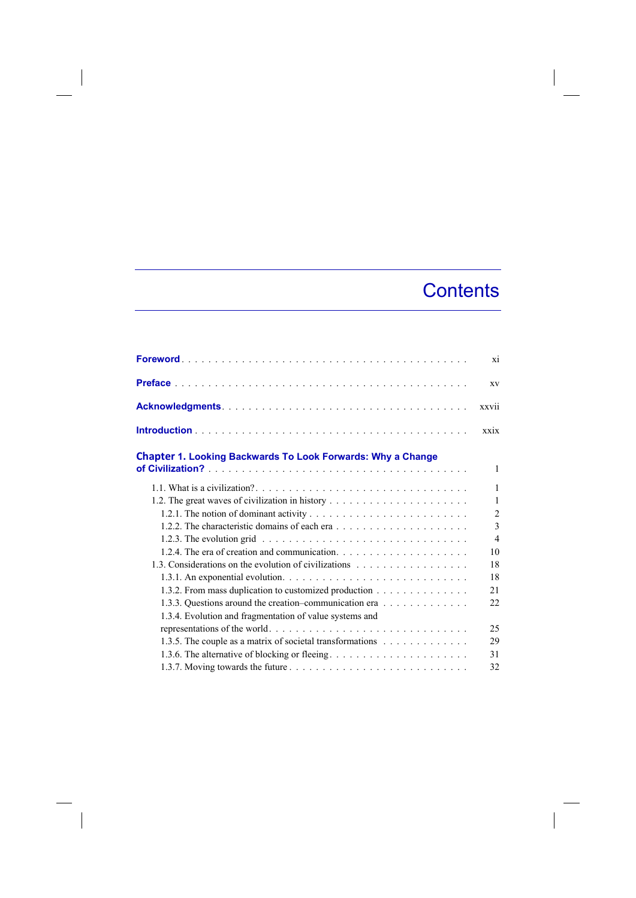## **Contents**

|                                                                                                          | xi             |
|----------------------------------------------------------------------------------------------------------|----------------|
|                                                                                                          | XV             |
|                                                                                                          | xxvii          |
|                                                                                                          | xxix           |
| <b>Chapter 1. Looking Backwards To Look Forwards: Why a Change</b>                                       | 1              |
|                                                                                                          | 1              |
|                                                                                                          | 1              |
|                                                                                                          | $\overline{2}$ |
|                                                                                                          | 3              |
| 1.2.3. The evolution grid $\ldots \ldots \ldots \ldots \ldots \ldots \ldots \ldots \ldots \ldots \ldots$ | $\overline{4}$ |
|                                                                                                          | 10             |
|                                                                                                          | 18             |
|                                                                                                          | 18             |
| 1.3.2. From mass duplication to customized production                                                    | 21             |
| 1.3.3. Questions around the creation-communication era                                                   | 22             |
| 1.3.4. Evolution and fragmentation of value systems and                                                  |                |
|                                                                                                          | 25             |
| 1.3.5. The couple as a matrix of societal transformations                                                | 29             |
|                                                                                                          | 31             |
|                                                                                                          | 32             |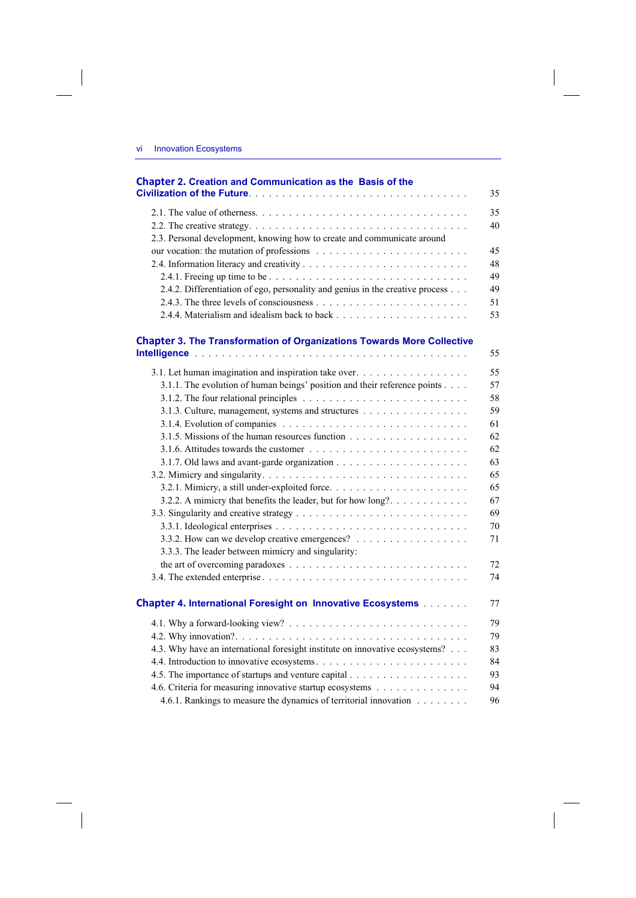$\overline{\phantom{a}}$ 

 $\begin{array}{c} \hline \end{array}$ 

| <b>Chapter 2. Creation and Communication as the Basis of the</b>              |    |
|-------------------------------------------------------------------------------|----|
|                                                                               | 35 |
|                                                                               | 35 |
|                                                                               | 40 |
| 2.3. Personal development, knowing how to create and communicate around       |    |
|                                                                               | 45 |
|                                                                               | 48 |
|                                                                               | 49 |
| 2.4.2. Differentiation of ego, personality and genius in the creative process | 49 |
|                                                                               | 51 |
|                                                                               | 53 |
| <b>Chapter 3. The Transformation of Organizations Towards More Collective</b> |    |
|                                                                               | 55 |
|                                                                               | 55 |
| 3.1.1. The evolution of human beings' position and their reference points     | 57 |
|                                                                               | 58 |
| 3.1.3. Culture, management, systems and structures                            | 59 |
|                                                                               | 61 |
|                                                                               | 62 |
|                                                                               | 62 |
|                                                                               | 63 |
|                                                                               | 65 |
|                                                                               | 65 |
| 3.2.2. A mimicry that benefits the leader, but for how long?                  | 67 |
|                                                                               | 69 |
|                                                                               | 70 |
| 3.3.2. How can we develop creative emergences?                                | 71 |
| 3.3.3. The leader between mimicry and singularity:                            |    |
|                                                                               | 72 |
|                                                                               | 74 |
| <b>Chapter 4. International Foresight on Innovative Ecosystems [1] Linux</b>  | 77 |
|                                                                               | 79 |
|                                                                               | 79 |
| 4.3. Why have an international foresight institute on innovative ecosystems?  | 83 |
|                                                                               | 84 |
|                                                                               | 93 |
| 4.6. Criteria for measuring innovative startup ecosystems                     | 94 |
| 4.6.1. Rankings to measure the dynamics of territorial innovation             | 96 |

 $\overline{\phantom{a}}$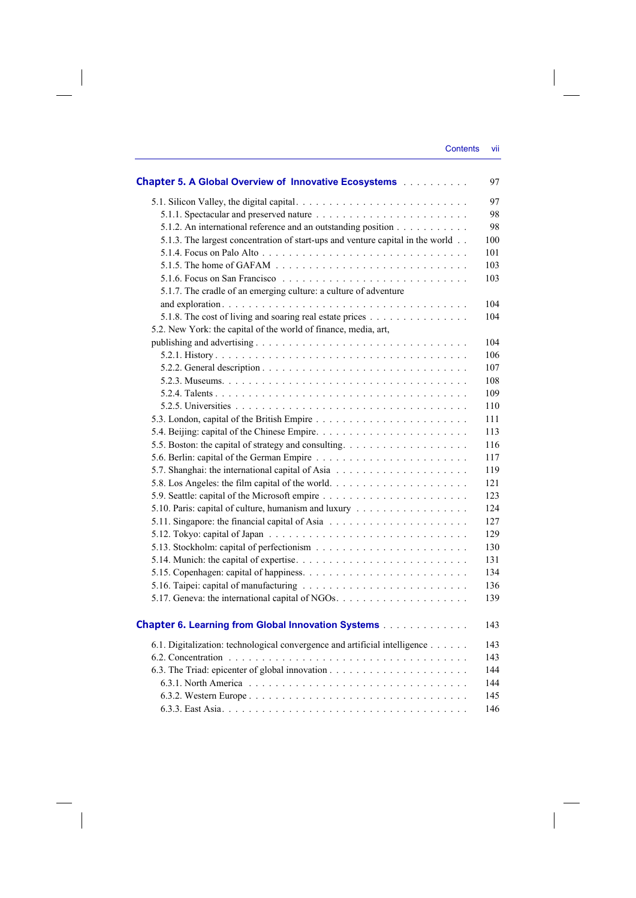| <b>Chapter 5. A Global Overview of Innovative Ecosystems</b>                                     | 97  |
|--------------------------------------------------------------------------------------------------|-----|
|                                                                                                  | 97  |
|                                                                                                  | 98  |
| 5.1.2. An international reference and an outstanding position                                    | 98  |
| 5.1.3. The largest concentration of start-ups and venture capital in the world.                  | 100 |
|                                                                                                  | 101 |
| 5.1.5. The home of GAFAM $\ldots \ldots \ldots \ldots \ldots \ldots \ldots \ldots \ldots \ldots$ | 103 |
|                                                                                                  | 103 |
| 5.1.7. The cradle of an emerging culture: a culture of adventure                                 |     |
|                                                                                                  | 104 |
| 5.1.8. The cost of living and soaring real estate prices                                         | 104 |
| 5.2. New York: the capital of the world of finance, media, art,                                  |     |
|                                                                                                  | 104 |
|                                                                                                  | 106 |
|                                                                                                  | 107 |
|                                                                                                  | 108 |
|                                                                                                  | 109 |
|                                                                                                  | 110 |
|                                                                                                  | 111 |
|                                                                                                  | 113 |
|                                                                                                  | 116 |
|                                                                                                  | 117 |
|                                                                                                  | 119 |
|                                                                                                  | 121 |
|                                                                                                  | 123 |
| 5.10. Paris: capital of culture, humanism and luxury                                             | 124 |
|                                                                                                  | 127 |
|                                                                                                  | 129 |
|                                                                                                  | 130 |
|                                                                                                  | 131 |
|                                                                                                  | 134 |
|                                                                                                  | 136 |
|                                                                                                  | 139 |
|                                                                                                  |     |
| <b>Chapter 6. Learning from Global Innovation Systems</b>                                        | 143 |
| 6.1. Digitalization: technological convergence and artificial intelligence                       | 143 |
|                                                                                                  | 143 |
|                                                                                                  | 144 |
|                                                                                                  | 144 |
|                                                                                                  | 145 |
|                                                                                                  | 146 |

 $\overline{\phantom{a}}$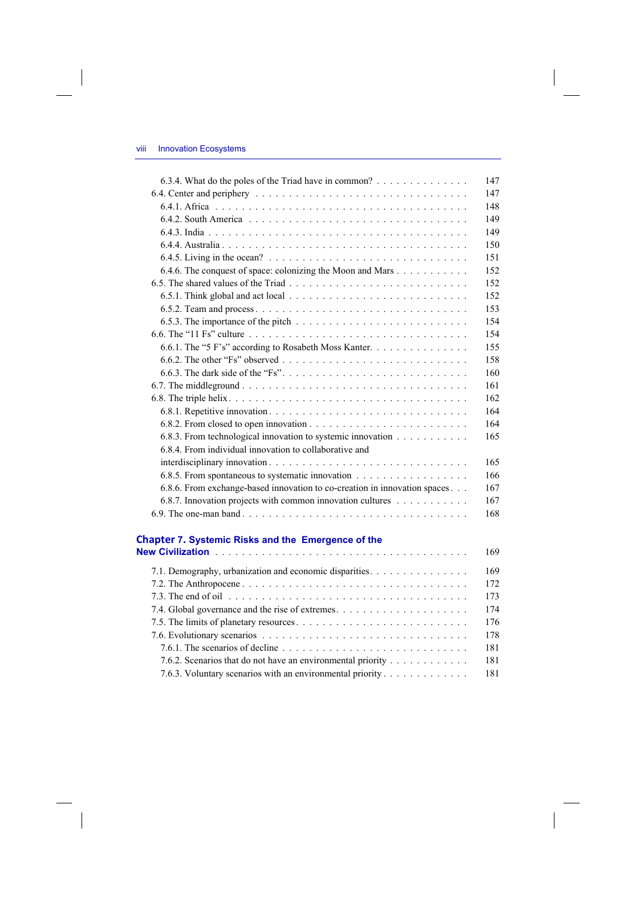I

 $\overline{\phantom{a}}$ 

| 6.3.4. What do the poles of the Triad have in common?                                                  | 147 |
|--------------------------------------------------------------------------------------------------------|-----|
|                                                                                                        | 147 |
|                                                                                                        | 148 |
|                                                                                                        | 149 |
|                                                                                                        | 149 |
|                                                                                                        | 150 |
|                                                                                                        | 151 |
| 6.4.6. The conquest of space: colonizing the Moon and Mars                                             | 152 |
|                                                                                                        | 152 |
|                                                                                                        | 152 |
|                                                                                                        | 153 |
| 6.5.3. The importance of the pitch $\dots \dots \dots \dots \dots \dots \dots \dots \dots \dots \dots$ | 154 |
|                                                                                                        | 154 |
| 6.6.1. The "5 F's" according to Rosabeth Moss Kanter.                                                  | 155 |
|                                                                                                        | 158 |
|                                                                                                        | 160 |
|                                                                                                        | 161 |
|                                                                                                        | 162 |
|                                                                                                        | 164 |
|                                                                                                        | 164 |
| 6.8.3. From technological innovation to systemic innovation                                            | 165 |
| 6.8.4. From individual innovation to collaborative and                                                 |     |
|                                                                                                        | 165 |
|                                                                                                        | 166 |
| 6.8.6. From exchange-based innovation to co-creation in innovation spaces                              | 167 |
| 6.8.7. Innovation projects with common innovation cultures                                             | 167 |
|                                                                                                        | 168 |

## **Chapter 7. Systemic Risks and the Emergence of the**

|                                                                                                                                  | 169 |
|----------------------------------------------------------------------------------------------------------------------------------|-----|
| 7.1. Demography, urbanization and economic disparities.                                                                          | 169 |
|                                                                                                                                  | 172 |
|                                                                                                                                  | 173 |
|                                                                                                                                  | 174 |
|                                                                                                                                  | 176 |
|                                                                                                                                  | 178 |
| 7.6.1. The scenarios of decline $\ldots$ , $\ldots$ , $\ldots$ , $\ldots$ , $\ldots$ , $\ldots$ , $\ldots$ , $\ldots$ , $\ldots$ | 181 |
| 7.6.2. Scenarios that do not have an environmental priority                                                                      | 181 |
| 7.6.3. Voluntary scenarios with an environmental priority                                                                        | 181 |
|                                                                                                                                  |     |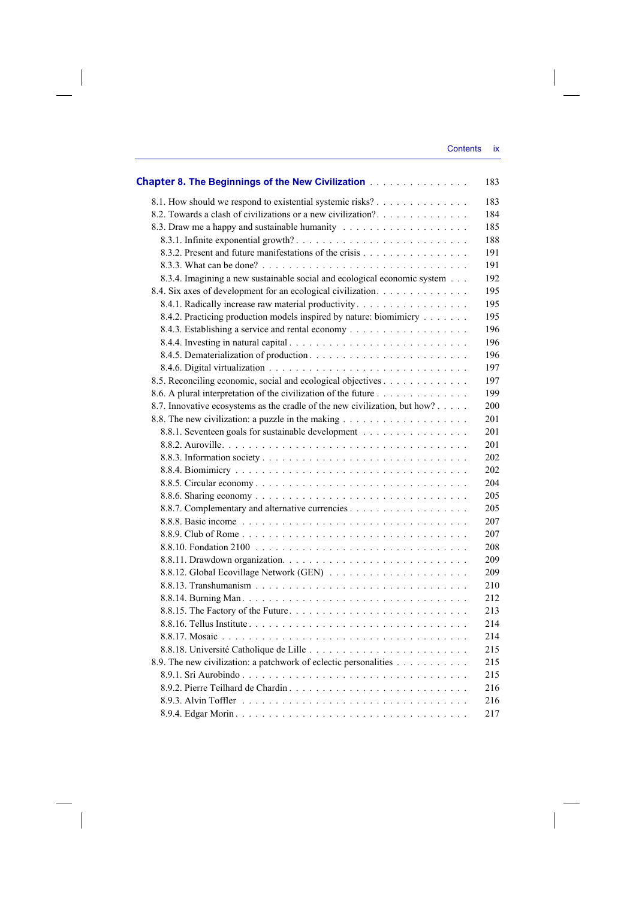| <b>Chapter 8. The Beginnings of the New Civilization Community Chapter 8. The Beginnings of the New Civilization</b> | 183 |
|----------------------------------------------------------------------------------------------------------------------|-----|
| 8.1. How should we respond to existential systemic risks?                                                            | 183 |
| 8.2. Towards a clash of civilizations or a new civilization?                                                         | 184 |
|                                                                                                                      | 185 |
|                                                                                                                      | 188 |
|                                                                                                                      | 191 |
|                                                                                                                      | 191 |
| 8.3.4. Imagining a new sustainable social and ecological economic system                                             | 192 |
| 8.4. Six axes of development for an ecological civilization.                                                         | 195 |
| 8.4.1. Radically increase raw material productivity.                                                                 | 195 |
| 8.4.2. Practicing production models inspired by nature: biomimicry                                                   | 195 |
|                                                                                                                      | 196 |
|                                                                                                                      | 196 |
|                                                                                                                      | 196 |
|                                                                                                                      | 197 |
| 8.5. Reconciling economic, social and ecological objectives                                                          | 197 |
| 8.6. A plural interpretation of the civilization of the future                                                       | 199 |
| 8.7. Innovative ecosystems as the cradle of the new civilization, but how?                                           | 200 |
|                                                                                                                      | 201 |
| 8.8.1. Seventeen goals for sustainable development                                                                   | 201 |
|                                                                                                                      | 201 |
|                                                                                                                      | 202 |
|                                                                                                                      | 202 |
|                                                                                                                      | 204 |
|                                                                                                                      | 205 |
|                                                                                                                      | 205 |
|                                                                                                                      | 207 |
|                                                                                                                      | 207 |
|                                                                                                                      | 208 |
|                                                                                                                      | 209 |
|                                                                                                                      | 209 |
|                                                                                                                      | 210 |
|                                                                                                                      | 212 |
|                                                                                                                      | 213 |
|                                                                                                                      | 214 |
|                                                                                                                      | 214 |
|                                                                                                                      | 215 |
| 8.9. The new civilization: a patchwork of eclectic personalities                                                     | 215 |
|                                                                                                                      | 215 |
| 8.9.2. Pierre Teilhard de Chardin                                                                                    | 216 |
|                                                                                                                      | 216 |
|                                                                                                                      | 217 |